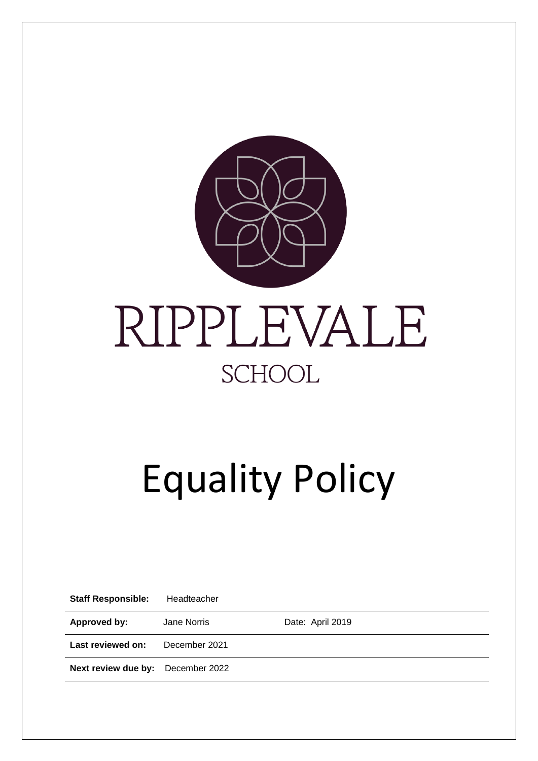

# Equality Policy

| <b>Staff Responsible:</b> | Headteacher   |                  |
|---------------------------|---------------|------------------|
| Approved by:              | Jane Norris   | Date: April 2019 |
| Last reviewed on:         | December 2021 |                  |
| Next review due by:       | December 2022 |                  |
|                           |               |                  |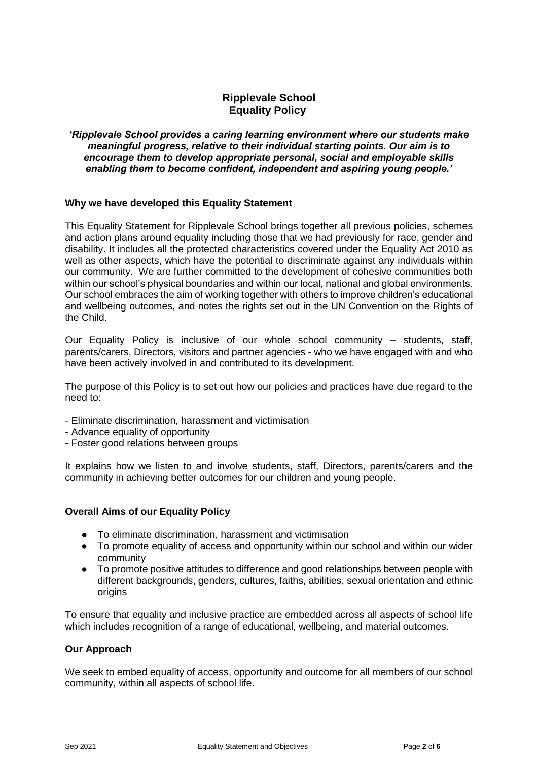# **Ripplevale School Equality Policy**

#### *'Ripplevale School provides a caring learning environment where our students make meaningful progress, relative to their individual starting points. Our aim is to encourage them to develop appropriate personal, social and employable skills enabling them to become confident, independent and aspiring young people.'*

## **Why we have developed this Equality Statement**

This Equality Statement for Ripplevale School brings together all previous policies, schemes and action plans around equality including those that we had previously for race, gender and disability. It includes all the protected characteristics covered under the Equality Act 2010 as well as other aspects, which have the potential to discriminate against any individuals within our community. We are further committed to the development of cohesive communities both within our school's physical boundaries and within our local, national and global environments. Our school embraces the aim of working together with others to improve children's educational and wellbeing outcomes, and notes the rights set out in the UN Convention on the Rights of the Child.

Our Equality Policy is inclusive of our whole school community – students, staff, parents/carers, Directors, visitors and partner agencies - who we have engaged with and who have been actively involved in and contributed to its development.

The purpose of this Policy is to set out how our policies and practices have due regard to the need to:

- Eliminate discrimination, harassment and victimisation
- Advance equality of opportunity
- Foster good relations between groups

It explains how we listen to and involve students, staff, Directors, parents/carers and the community in achieving better outcomes for our children and young people.

#### **Overall Aims of our Equality Policy**

- To eliminate discrimination, harassment and victimisation
- To promote equality of access and opportunity within our school and within our wider community
- To promote positive attitudes to difference and good relationships between people with different backgrounds, genders, cultures, faiths, abilities, sexual orientation and ethnic origins

To ensure that equality and inclusive practice are embedded across all aspects of school life which includes recognition of a range of educational, wellbeing, and material outcomes.

# **Our Approach**

We seek to embed equality of access, opportunity and outcome for all members of our school community, within all aspects of school life.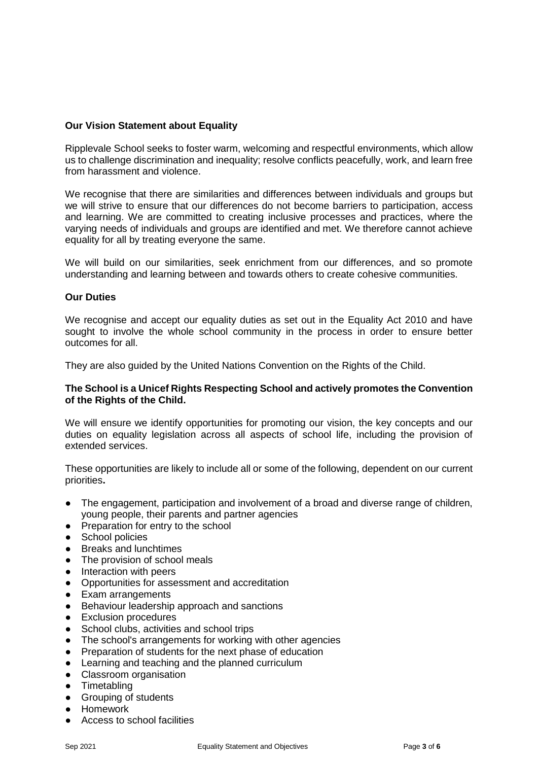# **Our Vision Statement about Equality**

Ripplevale School seeks to foster warm, welcoming and respectful environments, which allow us to challenge discrimination and inequality; resolve conflicts peacefully, work, and learn free from harassment and violence.

We recognise that there are similarities and differences between individuals and groups but we will strive to ensure that our differences do not become barriers to participation, access and learning. We are committed to creating inclusive processes and practices, where the varying needs of individuals and groups are identified and met. We therefore cannot achieve equality for all by treating everyone the same.

We will build on our similarities, seek enrichment from our differences, and so promote understanding and learning between and towards others to create cohesive communities.

#### **Our Duties**

We recognise and accept our equality duties as set out in the Equality Act 2010 and have sought to involve the whole school community in the process in order to ensure better outcomes for all.

They are also guided by the United Nations Convention on the Rights of the Child.

## **The School is a Unicef Rights Respecting School and actively promotes the Convention of the Rights of the Child.**

We will ensure we identify opportunities for promoting our vision, the key concepts and our duties on equality legislation across all aspects of school life, including the provision of extended services.

These opportunities are likely to include all or some of the following, dependent on our current priorities**.** 

- The engagement, participation and involvement of a broad and diverse range of children, young people, their parents and partner agencies
- Preparation for entry to the school
- School policies
- Breaks and lunchtimes
- The provision of school meals
- Interaction with peers
- Opportunities for assessment and accreditation
- Exam arrangements
- Behaviour leadership approach and sanctions
- Exclusion procedures
- School clubs, activities and school trips
- The school's arrangements for working with other agencies
- Preparation of students for the next phase of education
- Learning and teaching and the planned curriculum
- Classroom organisation
- Timetabling
- Grouping of students
- Homework
- Access to school facilities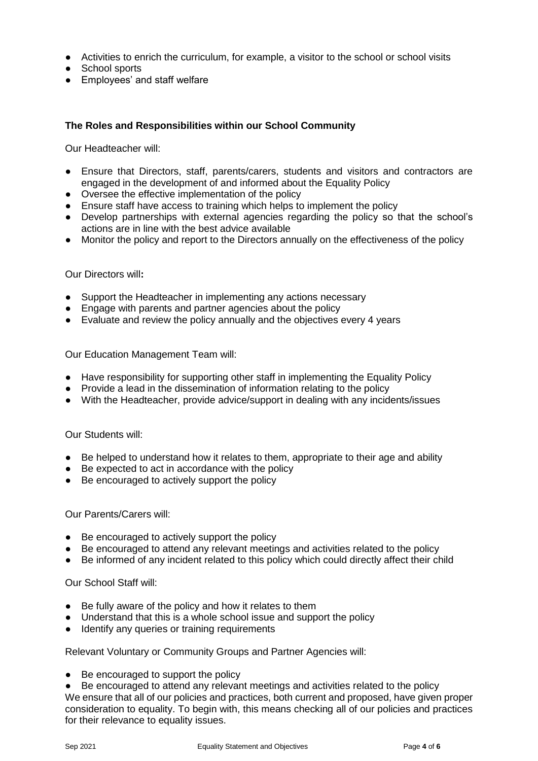- Activities to enrich the curriculum, for example, a visitor to the school or school visits
- School sports
- Employees' and staff welfare

# **The Roles and Responsibilities within our School Community**

Our Headteacher will:

- Ensure that Directors, staff, parents/carers, students and visitors and contractors are engaged in the development of and informed about the Equality Policy
- Oversee the effective implementation of the policy
- Ensure staff have access to training which helps to implement the policy
- Develop partnerships with external agencies regarding the policy so that the school's actions are in line with the best advice available
- Monitor the policy and report to the Directors annually on the effectiveness of the policy

#### Our Directors will**:**

- Support the Headteacher in implementing any actions necessary
- Engage with parents and partner agencies about the policy
- Evaluate and review the policy annually and the objectives every 4 years

Our Education Management Team will:

- Have responsibility for supporting other staff in implementing the Equality Policy
- Provide a lead in the dissemination of information relating to the policy
- With the Headteacher, provide advice/support in dealing with any incidents/issues

Our Students will:

- Be helped to understand how it relates to them, appropriate to their age and ability
- Be expected to act in accordance with the policy
- Be encouraged to actively support the policy

Our Parents/Carers will:

- Be encouraged to actively support the policy
- Be encouraged to attend any relevant meetings and activities related to the policy
- Be informed of any incident related to this policy which could directly affect their child

Our School Staff will:

- Be fully aware of the policy and how it relates to them
- Understand that this is a whole school issue and support the policy
- Identify any queries or training requirements

Relevant Voluntary or Community Groups and Partner Agencies will:

● Be encouraged to support the policy

● Be encouraged to attend any relevant meetings and activities related to the policy We ensure that all of our policies and practices, both current and proposed, have given proper consideration to equality. To begin with, this means checking all of our policies and practices for their relevance to equality issues.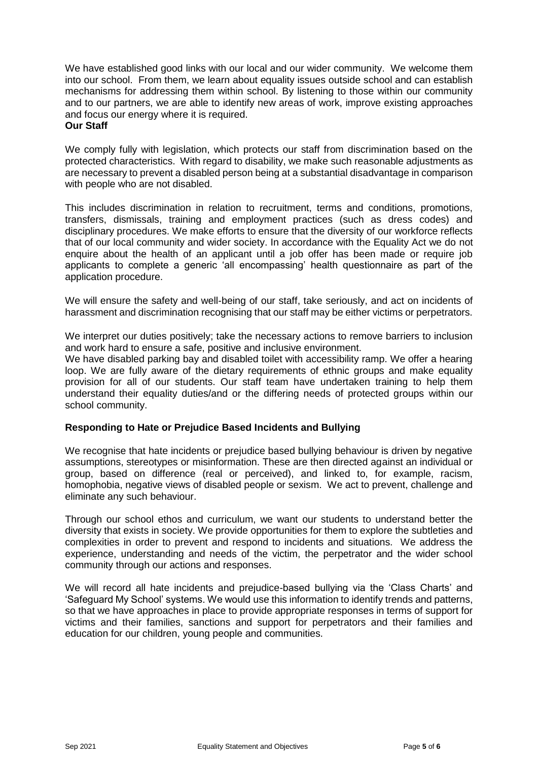We have established good links with our local and our wider community. We welcome them into our school. From them, we learn about equality issues outside school and can establish mechanisms for addressing them within school. By listening to those within our community and to our partners, we are able to identify new areas of work, improve existing approaches and focus our energy where it is required. **Our Staff**

We comply fully with legislation, which protects our staff from discrimination based on the protected characteristics. With regard to disability, we make such reasonable adjustments as are necessary to prevent a disabled person being at a substantial disadvantage in comparison with people who are not disabled.

This includes discrimination in relation to recruitment, terms and conditions, promotions, transfers, dismissals, training and employment practices (such as dress codes) and disciplinary procedures. We make efforts to ensure that the diversity of our workforce reflects that of our local community and wider society. In accordance with the Equality Act we do not enquire about the health of an applicant until a job offer has been made or require job applicants to complete a generic 'all encompassing' health questionnaire as part of the application procedure.

We will ensure the safety and well-being of our staff, take seriously, and act on incidents of harassment and discrimination recognising that our staff may be either victims or perpetrators.

We interpret our duties positively; take the necessary actions to remove barriers to inclusion and work hard to ensure a safe, positive and inclusive environment.

We have disabled parking bay and disabled toilet with accessibility ramp. We offer a hearing loop. We are fully aware of the dietary requirements of ethnic groups and make equality provision for all of our students. Our staff team have undertaken training to help them understand their equality duties/and or the differing needs of protected groups within our school community.

# **Responding to Hate or Prejudice Based Incidents and Bullying**

We recognise that hate incidents or prejudice based bullying behaviour is driven by negative assumptions, stereotypes or misinformation. These are then directed against an individual or group, based on difference (real or perceived), and linked to, for example, racism, homophobia, negative views of disabled people or sexism. We act to prevent, challenge and eliminate any such behaviour.

Through our school ethos and curriculum, we want our students to understand better the diversity that exists in society. We provide opportunities for them to explore the subtleties and complexities in order to prevent and respond to incidents and situations. We address the experience, understanding and needs of the victim, the perpetrator and the wider school community through our actions and responses.

We will record all hate incidents and prejudice-based bullying via the 'Class Charts' and 'Safeguard My School' systems. We would use this information to identify trends and patterns, so that we have approaches in place to provide appropriate responses in terms of support for victims and their families, sanctions and support for perpetrators and their families and education for our children, young people and communities.